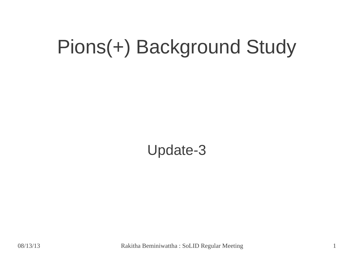## Pions(+) Background Study

Update-3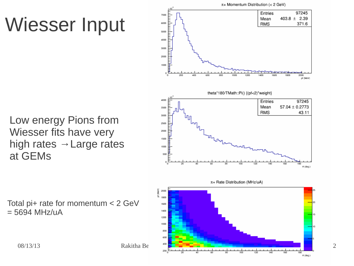# Wiesser Input

 $\pi$ + Momentum Distribution (< 2 GeV) 97245 Entries 7000  $403.8 \pm 2.39$ Mean 6000 371.6 **RMS** 5000 4000 3000 2000 1000 o. 200 400 600 800 ioo 2000 of (MeV) theta\*180/TMath::Pi() {(pf<2)\*weight} 4000 Entries 97245 Mean  $57.04 \pm 0.2773$ 3500 **RMS** 43.11 3000 2500 2000 1500 1000 500  $\theta$  (deg.) π+ Rate Distribution (MHz/uA) ŝ 2000 包 1800 ł20 1600 1400 1200 1000 800

Low energy Pions from Wiesser fits have very high rates  $\rightarrow$  Large rates at GEMs

Total pi+ rate for momentum < 2 GeV  $= 5694$  MHz/uA



08/13/13 Rakitha Beminiwattha : SoLID Regular Meeting 2

600

160

180  $\theta$  (deg.)

120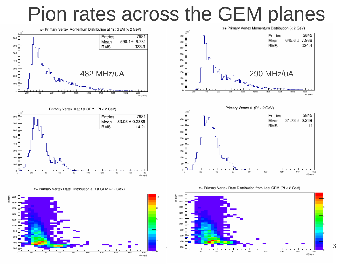### Pion rates across the GEM planes



π+ Primary Vertex Rate Distribution at 1st GEM (< 2 GeV)









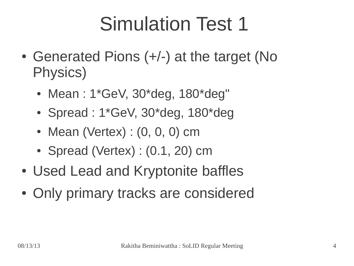## Simulation Test 1

- Generated Pions (+/-) at the target (No Physics)
	- Mean:  $1*GeV$ ,  $30*deg$ ,  $180*deg"$
	- Spread :  $1*GeV$ ,  $30*deg$ ,  $180*deg$
	- Mean (Vertex) :  $(0, 0, 0)$  cm
	- Spread (Vertex) :  $(0.1, 20)$  cm
- Used Lead and Kryptonite baffles
- Only primary tracks are considered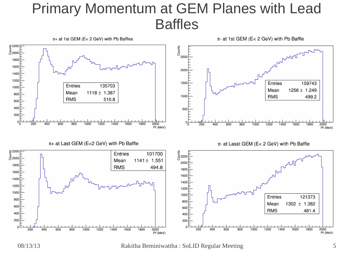#### Primary Momentum at GEM Planes with Lead Baffles



08/13/13 Rakitha Beminiwattha : SoLID Regular Meeting 5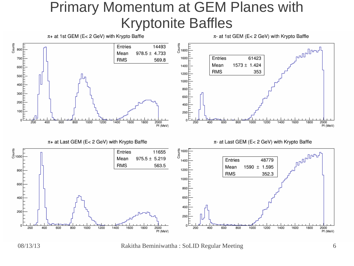#### Primary Momentum at GEM Planes with Kryptonite Baffles



08/13/13 Rakitha Beminiwattha : SoLID Regular Meeting 6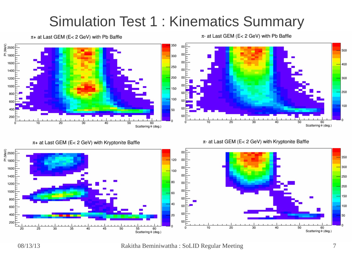#### Simulation Test 1 : Kinematics Summary

 $\pi$ + at Last GEM (E< 2 GeV) with Pb Baffle

 $\pi$ - at Last GEM (E< 2 GeV) with Pb Baffle

 $\pi$ - at Last GEM (E< 2 GeV) with Kryptonite Baffle



 $\pi$ + at Last GEM (E< 2 GeV) with Kryptonite Baffle



08/13/13 Rakitha Beminiwattha : SoLID Regular Meeting 7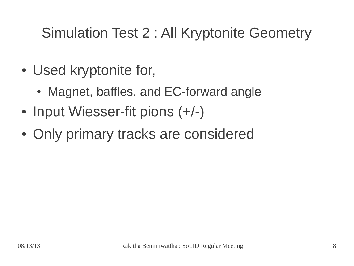#### Simulation Test 2 : All Kryptonite Geometry

- Used kryptonite for,
	- Magnet, baffles, and EC-forward angle
- Input Wiesser-fit pions (+/-)
- Only primary tracks are considered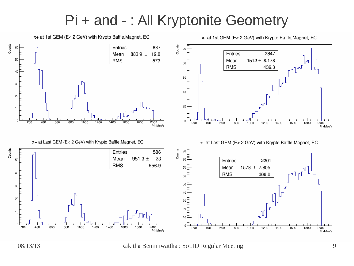#### Pi + and - : All Kryptonite Geometry



 $\pi$ + at 1st GEM (E< 2 GeV) with Krypto Baffle, Magnet, EC

08/13/13 Rakitha Beminiwattha : SoLID Regular Meeting 9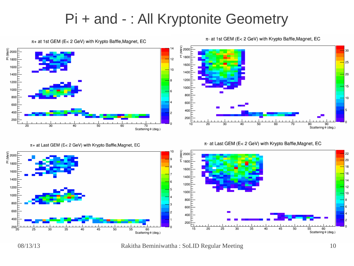#### Pi + and - : All Kryptonite Geometry

 $\pi$ + at 1st GEM (E< 2 GeV) with Krypto Baffle, Magnet, EC  $\begin{array}{c}\n\circ \\
\circ \\
\circ \\
\hline\n\circ \\
\hline\n\circ \\
\hline\n\circ \\
\hline\n\circ \\
\hline\n\end{array}$ 600 F o  $\frac{200}{2}$ Scattering θ (deg.)

 $\pi$ + at Last GEM (E< 2 GeV) with Krypto Baffle, Magnet, EC



 $\pi$ - at Last GEM (E< 2 GeV) with Krypto Baffle, Magnet, EC

Scattering e (deg.)

 $\overline{50}$ 

 $\overline{40}$ 





08/13/13 Rakitha Beminiwattha : SoLID Regular Meeting 10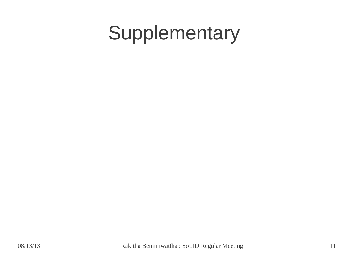## Supplementary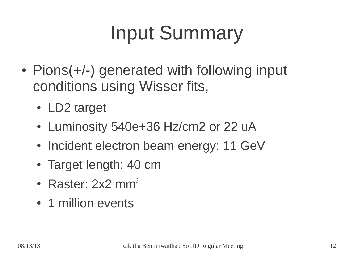# Input Summary

- Pions(+/-) generated with following input conditions using Wisser fits,
	- LD2 target
	- Luminosity 540e+36 Hz/cm2 or 22 uA
	- Incident electron beam energy: 11 GeV
	- Target length: 40 cm
	- Raster:  $2x2$  mm<sup>2</sup>
	- 1 million events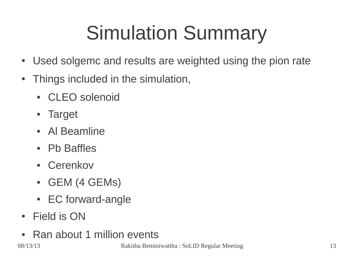# Simulation Summary

- Used solgemc and results are weighted using the pion rate
- Things included in the simulation,
	- CLEO solenoid
	- Target
	- Al Beamline
	- Pb Baffles
	- Cerenkov
	- GEM (4 GEMs)
	- EC forward-angle
- Field is ON
- Ran about 1 million events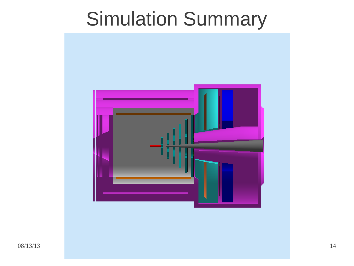## Simulation Summary

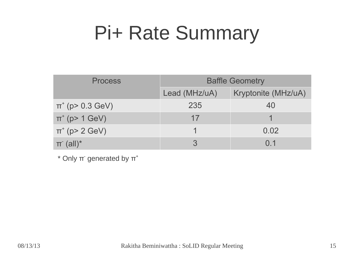## Pi+ Rate Summary

| <b>Process</b>           | <b>Baffle Geometry</b> |                     |
|--------------------------|------------------------|---------------------|
|                          | Lead (MHz/uA)          | Kryptonite (MHz/uA) |
| $\pi^{+}$ (p> 0.3 GeV)   | 235                    | 40                  |
| $\pi^{+}$ (p> 1 GeV)     | 17                     |                     |
| $\pi^{+}$ (p> 2 GeV)     |                        | 0.02                |
| $\pi$ (all) <sup>*</sup> |                        | $\Omega$ 1          |

 $*$  Only  $\pi$ <sup>-</sup> generated by  $\pi$ <sup>+</sup>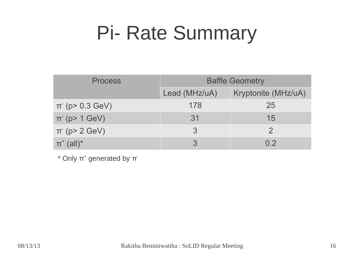## Pi- Rate Summary

| <b>Process</b>             | <b>Baffle Geometry</b> |                     |
|----------------------------|------------------------|---------------------|
|                            | Lead (MHz/uA)          | Kryptonite (MHz/uA) |
| $\pi$ (p > 0.3 GeV)        | 178                    | 25                  |
| $\pi$ (p> 1 GeV)           | 31                     | 15                  |
| $\pi$ (p> 2 GeV)           | 3                      |                     |
| $\pi^*$ (all) <sup>*</sup> |                        | 0 <sub>2</sub>      |

 $*$  Only  $\pi^*$  generated by  $\pi^*$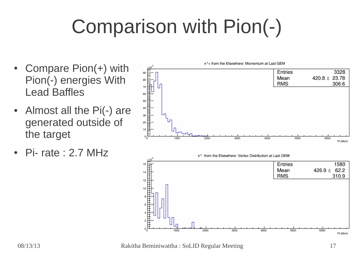# Comparison with Pion(-)

- Compare  $Pion(+)$  with Pion(-) energies With Lead Baffles
- Almost all the Pi(-) are generated outside of the target
- $Pi$  rate : 2.7 MHz



08/13/13 Rakitha Beminiwattha : SoLID Regular Meeting 17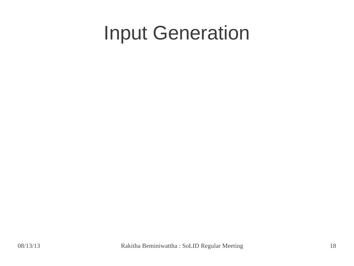## Input Generation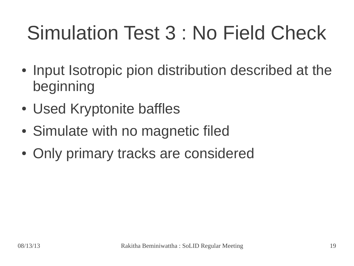# Simulation Test 3 : No Field Check

- Input Isotropic pion distribution described at the beginning
- Used Kryptonite baffles
- Simulate with no magnetic filed
- Only primary tracks are considered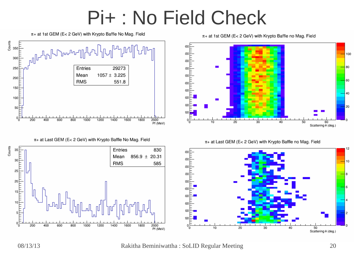### Pi+ : No Field Check



 $\pi$ + at 1st GEM (E< 2 GeV) with Krypto Baffle no Mag. Field

 $\pi$ + at Last GEM (E< 2 GeV) with Krypto Baffle no Mag. Field



 $\pi$ + at 1st GEM (E< 2 GeV) with Krypto Baffle No Mag. Field



 $\pi$ + at Last GEM (E< 2 GeV) with Krypto Baffle No Mag. Field



08/13/13 Rakitha Beminiwattha : SoLID Regular Meeting 20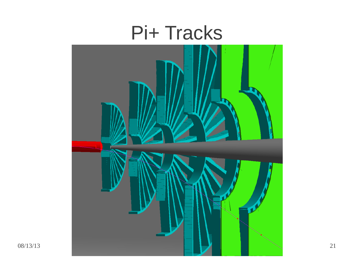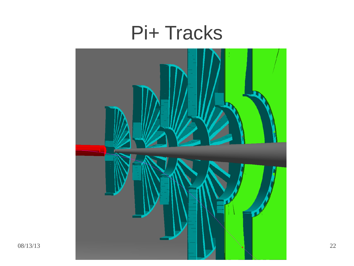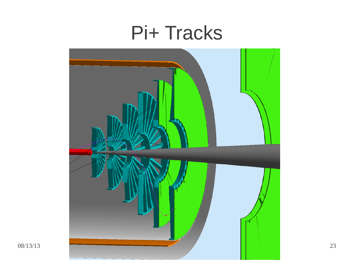